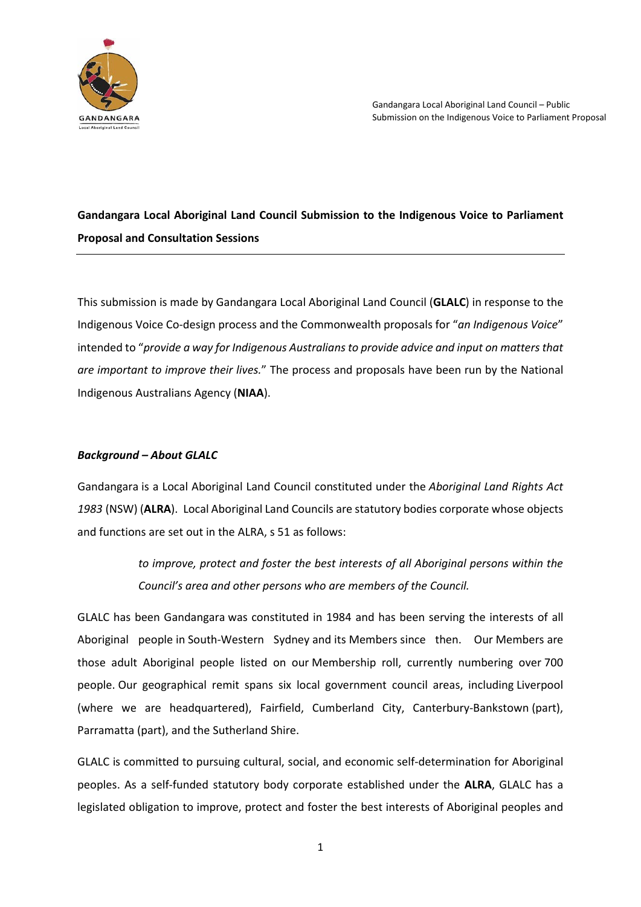

# **Gandangara Local Aboriginal Land Council Submission to the Indigenous Voice to Parliament Proposal and Consultation Sessions**

This submission is made by Gandangara Local Aboriginal Land Council (**GLALC**) in response to the Indigenous Voice Co-design process and the Commonwealth proposals for "*an Indigenous Voice*" intended to "*provide a way for Indigenous Australians to provide advice and input on matters that are important to improve their lives.*" The process and proposals have been run by the National Indigenous Australians Agency (**NIAA**).

### *Background – About GLALC*

Gandangara is a Local Aboriginal Land Council constituted under the *Aboriginal Land Rights Act 1983* (NSW) (**ALRA**). Local Aboriginal Land Councils are statutory bodies corporate whose objects and functions are set out in the ALRA, s 51 as follows:

> *to improve, protect and foster the best interests of all Aboriginal persons within the Council's area and other persons who are members of the Council.*

GLALC has been Gandangara was constituted in 1984 and has been serving the interests of all Aboriginal people in South-Western Sydney and its Members since then. Our Members are those adult Aboriginal people listed on our Membership roll, currently numbering over 700 people. Our geographical remit spans six local government council areas, including Liverpool (where we are headquartered), Fairfield, Cumberland City, Canterbury-Bankstown (part), Parramatta (part), and the Sutherland Shire.

GLALC is committed to pursuing cultural, social, and economic self-determination for Aboriginal peoples. As a self-funded statutory body corporate established under the **ALRA**, GLALC has a legislated obligation to improve, protect and foster the best interests of Aboriginal peoples and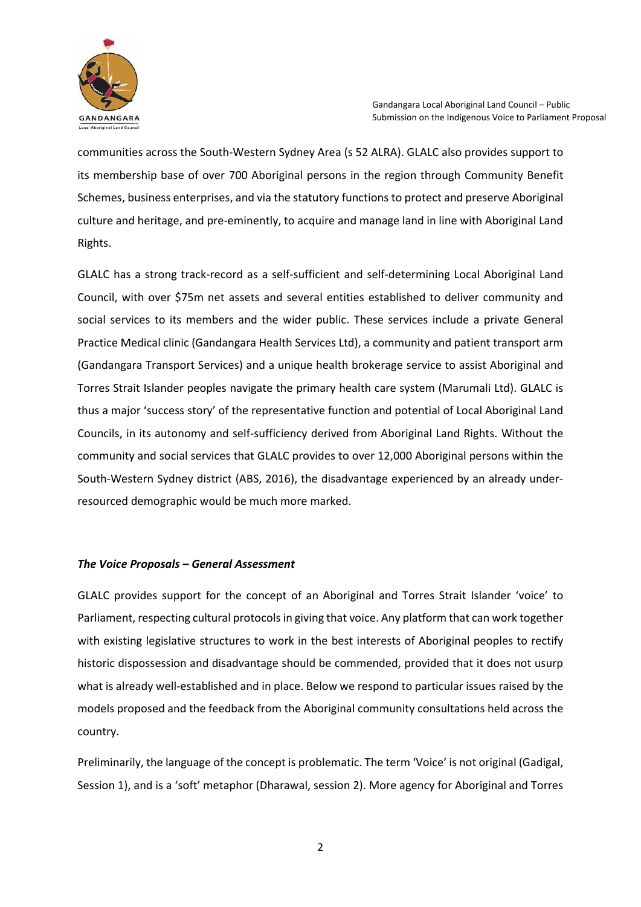

communities across the South-Western Sydney Area (s 52 ALRA). GLALC also provides support to its membership base of over 700 Aboriginal persons in the region through Community Benefit Schemes, business enterprises, and via the statutory functions to protect and preserve Aboriginal culture and heritage, and pre-eminently, to acquire and manage land in line with Aboriginal Land Rights.

GLALC has a strong track-record as a self-sufficient and self-determining Local Aboriginal Land Council, with over \$75m net assets and several entities established to deliver community and social services to its members and the wider public. These services include a private General Practice Medical clinic (Gandangara Health Services Ltd), a community and patient transport arm (Gandangara Transport Services) and a unique health brokerage service to assist Aboriginal and Torres Strait Islander peoples navigate the primary health care system (Marumali Ltd). GLALC is thus a major 'success story' of the representative function and potential of Local Aboriginal Land Councils, in its autonomy and self-sufficiency derived from Aboriginal Land Rights. Without the community and social services that GLALC provides to over 12,000 Aboriginal persons within the South-Western Sydney district (ABS, 2016), the disadvantage experienced by an already underresourced demographic would be much more marked.

#### *The Voice Proposals – General Assessment*

GLALC provides support for the concept of an Aboriginal and Torres Strait Islander 'voice' to Parliament, respecting cultural protocols in giving that voice. Any platform that can work together with existing legislative structures to work in the best interests of Aboriginal peoples to rectify historic dispossession and disadvantage should be commended, provided that it does not usurp what is already well-established and in place. Below we respond to particular issues raised by the models proposed and the feedback from the Aboriginal community consultations held across the country.

Preliminarily, the language of the concept is problematic. The term 'Voice' is not original (Gadigal, Session 1), and is a 'soft' metaphor (Dharawal, session 2). More agency for Aboriginal and Torres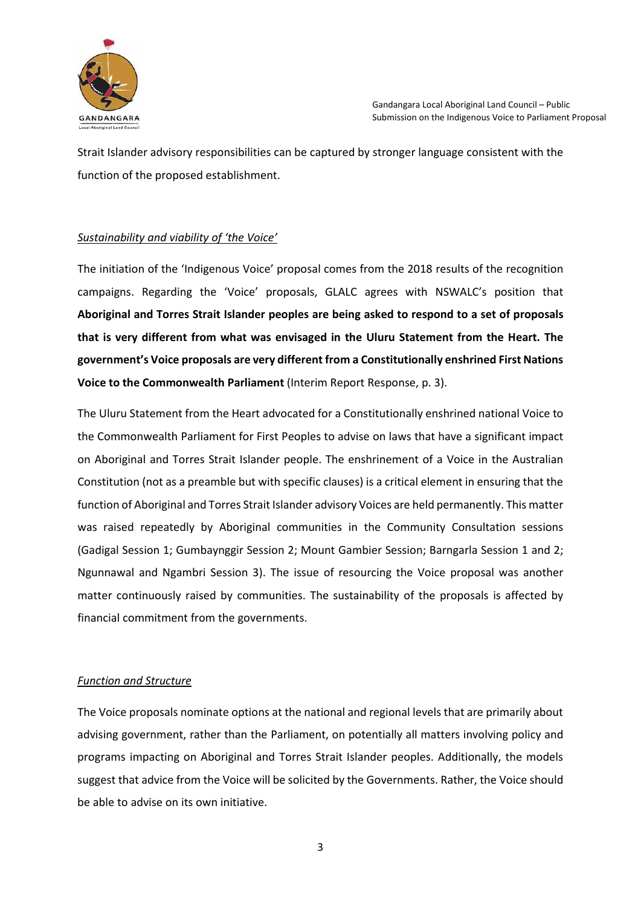

Strait Islander advisory responsibilities can be captured by stronger language consistent with the function of the proposed establishment.

## *Sustainability and viability of 'the Voice'*

The initiation of the 'Indigenous Voice' proposal comes from the 2018 results of the recognition campaigns. Regarding the 'Voice' proposals, GLALC agrees with NSWALC's position that **Aboriginal and Torres Strait Islander peoples are being asked to respond to a set of proposals that is very different from what was envisaged in the Uluru Statement from the Heart. The government's Voice proposals are very different from a Constitutionally enshrined First Nations Voice to the Commonwealth Parliament** (Interim Report Response, p. 3).

The Uluru Statement from the Heart advocated for a Constitutionally enshrined national Voice to the Commonwealth Parliament for First Peoples to advise on laws that have a significant impact on Aboriginal and Torres Strait Islander people. The enshrinement of a Voice in the Australian Constitution (not as a preamble but with specific clauses) is a critical element in ensuring that the function of Aboriginal and Torres Strait Islander advisory Voices are held permanently. This matter was raised repeatedly by Aboriginal communities in the Community Consultation sessions (Gadigal Session 1; Gumbaynggir Session 2; Mount Gambier Session; Barngarla Session 1 and 2; Ngunnawal and Ngambri Session 3). The issue of resourcing the Voice proposal was another matter continuously raised by communities. The sustainability of the proposals is affected by financial commitment from the governments.

### *Function and Structure*

The Voice proposals nominate options at the national and regional levels that are primarily about advising government, rather than the Parliament, on potentially all matters involving policy and programs impacting on Aboriginal and Torres Strait Islander peoples. Additionally, the models suggest that advice from the Voice will be solicited by the Governments. Rather, the Voice should be able to advise on its own initiative.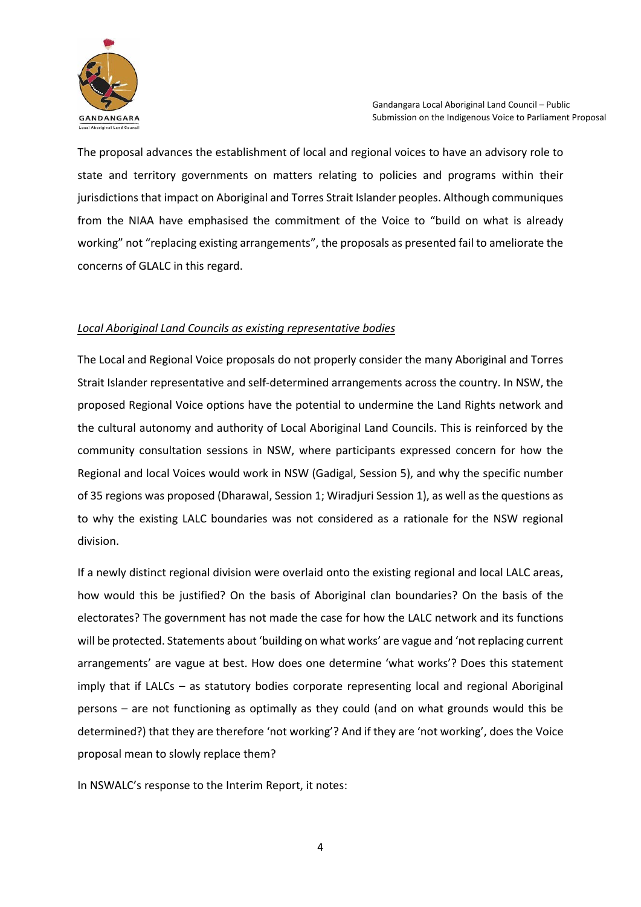

The proposal advances the establishment of local and regional voices to have an advisory role to state and territory governments on matters relating to policies and programs within their jurisdictions that impact on Aboriginal and Torres Strait Islander peoples. Although communiques from the NIAA have emphasised the commitment of the Voice to "build on what is already working" not "replacing existing arrangements", the proposals as presented fail to ameliorate the concerns of GLALC in this regard.

#### *Local Aboriginal Land Councils as existing representative bodies*

The Local and Regional Voice proposals do not properly consider the many Aboriginal and Torres Strait Islander representative and self-determined arrangements across the country. In NSW, the proposed Regional Voice options have the potential to undermine the Land Rights network and the cultural autonomy and authority of Local Aboriginal Land Councils. This is reinforced by the community consultation sessions in NSW, where participants expressed concern for how the Regional and local Voices would work in NSW (Gadigal, Session 5), and why the specific number of 35 regions was proposed (Dharawal, Session 1; Wiradjuri Session 1), as well as the questions as to why the existing LALC boundaries was not considered as a rationale for the NSW regional division.

If a newly distinct regional division were overlaid onto the existing regional and local LALC areas, how would this be justified? On the basis of Aboriginal clan boundaries? On the basis of the electorates? The government has not made the case for how the LALC network and its functions will be protected. Statements about 'building on what works' are vague and 'not replacing current arrangements' are vague at best. How does one determine 'what works'? Does this statement imply that if LALCs – as statutory bodies corporate representing local and regional Aboriginal persons – are not functioning as optimally as they could (and on what grounds would this be determined?) that they are therefore 'not working'? And if they are 'not working', does the Voice proposal mean to slowly replace them?

In NSWALC's response to the Interim Report, it notes: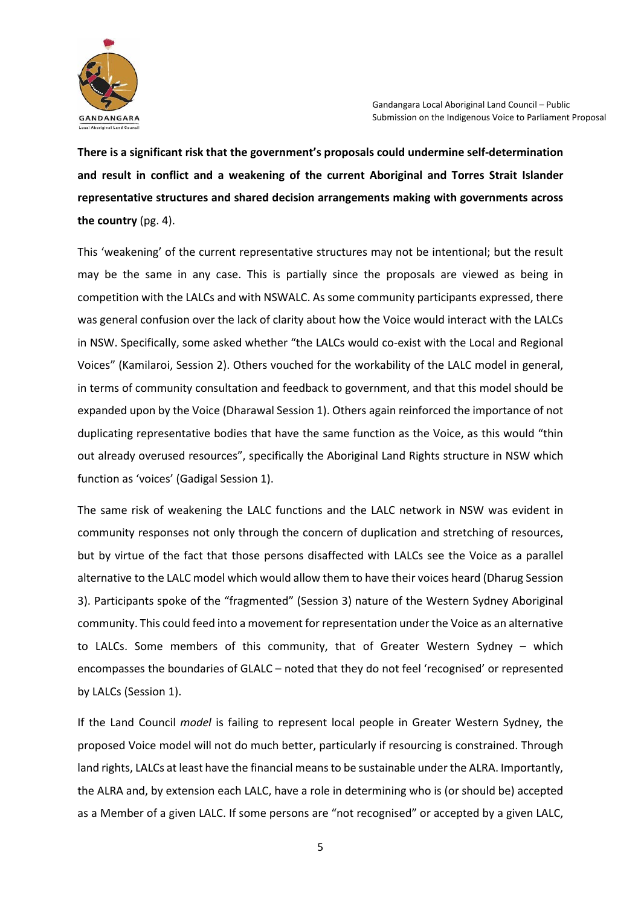

**There is a significant risk that the government's proposals could undermine self-determination and result in conflict and a weakening of the current Aboriginal and Torres Strait Islander representative structures and shared decision arrangements making with governments across the country** (pg. 4).

This 'weakening' of the current representative structures may not be intentional; but the result may be the same in any case. This is partially since the proposals are viewed as being in competition with the LALCs and with NSWALC. As some community participants expressed, there was general confusion over the lack of clarity about how the Voice would interact with the LALCs in NSW. Specifically, some asked whether "the LALCs would co-exist with the Local and Regional Voices" (Kamilaroi, Session 2). Others vouched for the workability of the LALC model in general, in terms of community consultation and feedback to government, and that this model should be expanded upon by the Voice (Dharawal Session 1). Others again reinforced the importance of not duplicating representative bodies that have the same function as the Voice, as this would "thin out already overused resources", specifically the Aboriginal Land Rights structure in NSW which function as 'voices' (Gadigal Session 1).

The same risk of weakening the LALC functions and the LALC network in NSW was evident in community responses not only through the concern of duplication and stretching of resources, but by virtue of the fact that those persons disaffected with LALCs see the Voice as a parallel alternative to the LALC model which would allow them to have their voices heard (Dharug Session 3). Participants spoke of the "fragmented" (Session 3) nature of the Western Sydney Aboriginal community. This could feed into a movement for representation under the Voice as an alternative to LALCs. Some members of this community, that of Greater Western Sydney – which encompasses the boundaries of GLALC – noted that they do not feel 'recognised' or represented by LALCs (Session 1).

If the Land Council *model* is failing to represent local people in Greater Western Sydney, the proposed Voice model will not do much better, particularly if resourcing is constrained. Through land rights, LALCs at least have the financial means to be sustainable under the ALRA. Importantly, the ALRA and, by extension each LALC, have a role in determining who is (or should be) accepted as a Member of a given LALC. If some persons are "not recognised" or accepted by a given LALC,

5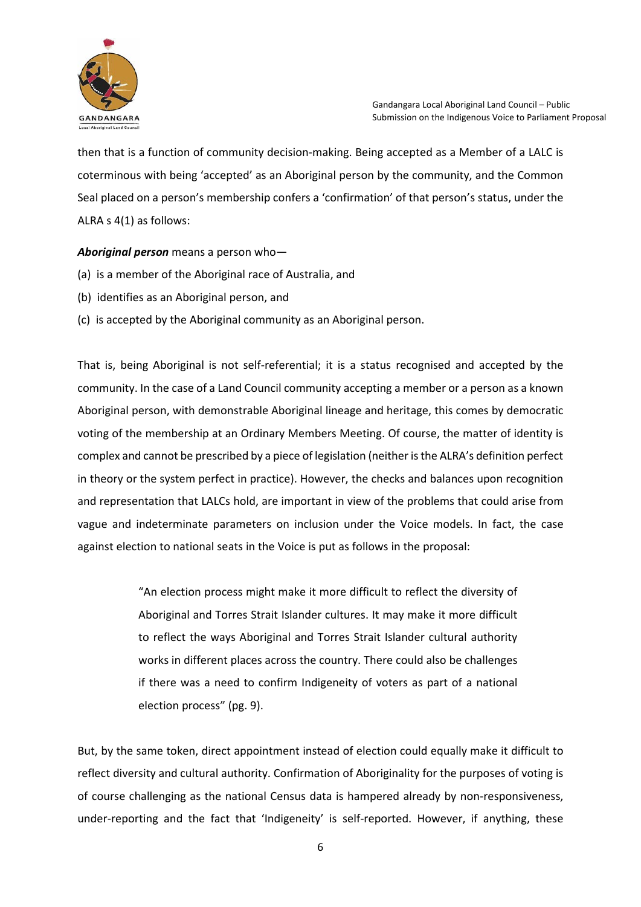

then that is a function of community decision-making. Being accepted as a Member of a LALC is coterminous with being 'accepted' as an Aboriginal person by the community, and the Common Seal placed on a person's membership confers a 'confirmation' of that person's status, under the ALRA s 4(1) as follows:

*Aboriginal person* means a person who—

- (a) is a member of the Aboriginal race of Australia, and
- (b) identifies as an Aboriginal person, and
- (c) is accepted by the Aboriginal community as an Aboriginal person.

That is, being Aboriginal is not self-referential; it is a status recognised and accepted by the community. In the case of a Land Council community accepting a member or a person as a known Aboriginal person, with demonstrable Aboriginal lineage and heritage, this comes by democratic voting of the membership at an Ordinary Members Meeting. Of course, the matter of identity is complex and cannot be prescribed by a piece of legislation (neither is the ALRA's definition perfect in theory or the system perfect in practice). However, the checks and balances upon recognition and representation that LALCs hold, are important in view of the problems that could arise from vague and indeterminate parameters on inclusion under the Voice models. In fact, the case against election to national seats in the Voice is put as follows in the proposal:

> "An election process might make it more difficult to reflect the diversity of Aboriginal and Torres Strait Islander cultures. It may make it more difficult to reflect the ways Aboriginal and Torres Strait Islander cultural authority works in different places across the country. There could also be challenges if there was a need to confirm Indigeneity of voters as part of a national election process" (pg. 9).

But, by the same token, direct appointment instead of election could equally make it difficult to reflect diversity and cultural authority. Confirmation of Aboriginality for the purposes of voting is of course challenging as the national Census data is hampered already by non-responsiveness, under-reporting and the fact that 'Indigeneity' is self-reported. However, if anything, these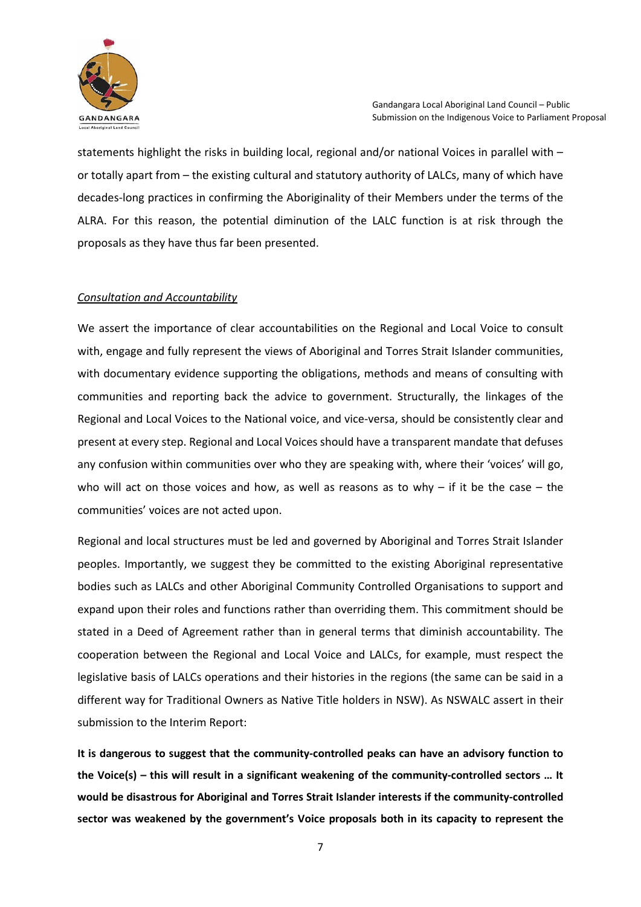

statements highlight the risks in building local, regional and/or national Voices in parallel with – or totally apart from – the existing cultural and statutory authority of LALCs, many of which have decades-long practices in confirming the Aboriginality of their Members under the terms of the ALRA. For this reason, the potential diminution of the LALC function is at risk through the proposals as they have thus far been presented.

#### *Consultation and Accountability*

We assert the importance of clear accountabilities on the Regional and Local Voice to consult with, engage and fully represent the views of Aboriginal and Torres Strait Islander communities, with documentary evidence supporting the obligations, methods and means of consulting with communities and reporting back the advice to government. Structurally, the linkages of the Regional and Local Voices to the National voice, and vice-versa, should be consistently clear and present at every step. Regional and Local Voices should have a transparent mandate that defuses any confusion within communities over who they are speaking with, where their 'voices' will go, who will act on those voices and how, as well as reasons as to why – if it be the case – the communities' voices are not acted upon.

Regional and local structures must be led and governed by Aboriginal and Torres Strait Islander peoples. Importantly, we suggest they be committed to the existing Aboriginal representative bodies such as LALCs and other Aboriginal Community Controlled Organisations to support and expand upon their roles and functions rather than overriding them. This commitment should be stated in a Deed of Agreement rather than in general terms that diminish accountability. The cooperation between the Regional and Local Voice and LALCs, for example, must respect the legislative basis of LALCs operations and their histories in the regions (the same can be said in a different way for Traditional Owners as Native Title holders in NSW). As NSWALC assert in their submission to the Interim Report:

**It is dangerous to suggest that the community-controlled peaks can have an advisory function to the Voice(s) – this will result in a significant weakening of the community-controlled sectors … It would be disastrous for Aboriginal and Torres Strait Islander interests if the community-controlled sector was weakened by the government's Voice proposals both in its capacity to represent the**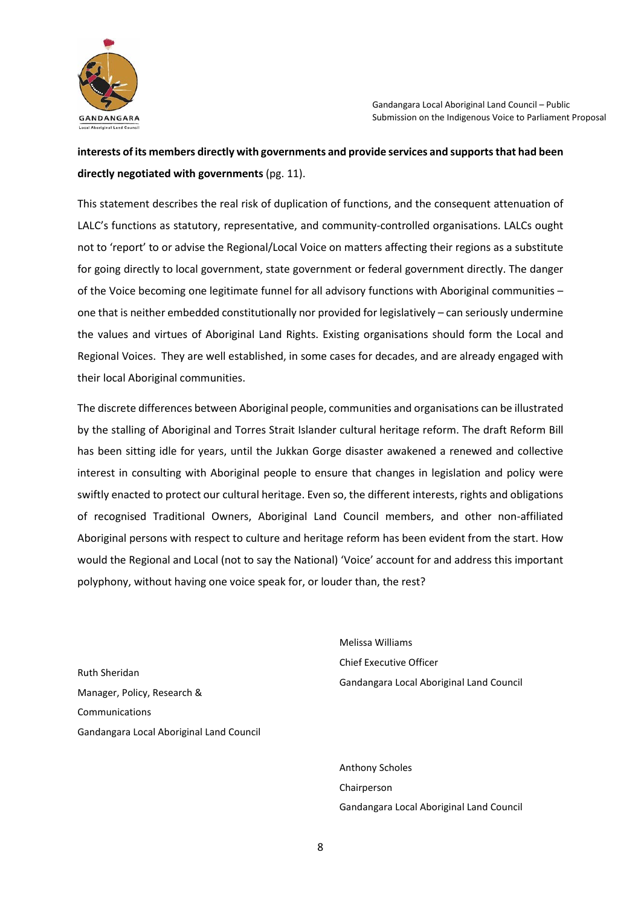

# **interests of its members directly with governments and provide services and supports that had been directly negotiated with governments** (pg. 11).

This statement describes the real risk of duplication of functions, and the consequent attenuation of LALC's functions as statutory, representative, and community-controlled organisations. LALCs ought not to 'report' to or advise the Regional/Local Voice on matters affecting their regions as a substitute for going directly to local government, state government or federal government directly. The danger of the Voice becoming one legitimate funnel for all advisory functions with Aboriginal communities – one that is neither embedded constitutionally nor provided for legislatively – can seriously undermine the values and virtues of Aboriginal Land Rights. Existing organisations should form the Local and Regional Voices. They are well established, in some cases for decades, and are already engaged with their local Aboriginal communities.

The discrete differences between Aboriginal people, communities and organisations can be illustrated by the stalling of Aboriginal and Torres Strait Islander cultural heritage reform. The draft Reform Bill has been sitting idle for years, until the Jukkan Gorge disaster awakened a renewed and collective interest in consulting with Aboriginal people to ensure that changes in legislation and policy were swiftly enacted to protect our cultural heritage. Even so, the different interests, rights and obligations of recognised Traditional Owners, Aboriginal Land Council members, and other non-affiliated Aboriginal persons with respect to culture and heritage reform has been evident from the start. How would the Regional and Local (not to say the National) 'Voice' account for and address this important polyphony, without having one voice speak for, or louder than, the rest?

Ruth Sheridan Manager, Policy, Research & Communications Gandangara Local Aboriginal Land Council Melissa Williams Chief Executive Officer Gandangara Local Aboriginal Land Council

Anthony Scholes Chairperson Gandangara Local Aboriginal Land Council